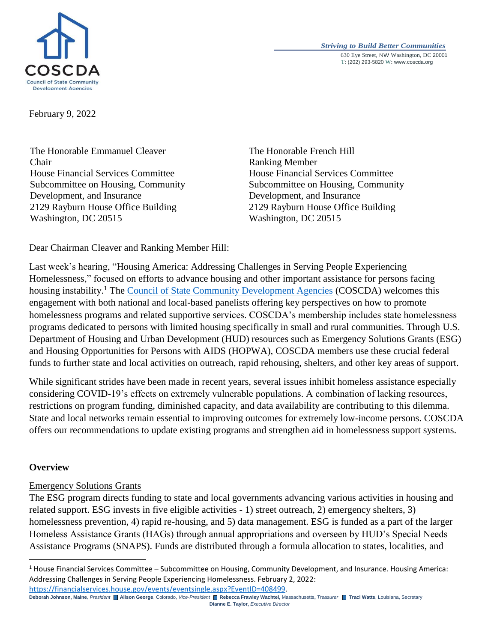

*Striving to Build Better Communities* 630 Eye Street, NW Washington, DC 20001 T: (202) 293-5820 W: www.coscda.org

February 9, 2022

The Honorable Emmanuel Cleaver Chair House Financial Services Committee Subcommittee on Housing, Community Development, and Insurance 2129 Rayburn House Office Building Washington, DC 20515

The Honorable French Hill Ranking Member House Financial Services Committee Subcommittee on Housing, Community Development, and Insurance 2129 Rayburn House Office Building Washington, DC 20515

Dear Chairman Cleaver and Ranking Member Hill:

Last week's hearing, "Housing America: Addressing Challenges in Serving People Experiencing Homelessness," focused on efforts to advance housing and other important assistance for persons facing housing instability.<sup>1</sup> The [Council of State Community Development Agencies](http://www.coscda.org/) (COSCDA) welcomes this engagement with both national and local-based panelists offering key perspectives on how to promote homelessness programs and related supportive services. COSCDA's membership includes state homelessness programs dedicated to persons with limited housing specifically in small and rural communities. Through U.S. Department of Housing and Urban Development (HUD) resources such as Emergency Solutions Grants (ESG) and Housing Opportunities for Persons with AIDS (HOPWA), COSCDA members use these crucial federal funds to further state and local activities on outreach, rapid rehousing, shelters, and other key areas of support.

While significant strides have been made in recent years, several issues inhibit homeless assistance especially considering COVID-19's effects on extremely vulnerable populations. A combination of lacking resources, restrictions on program funding, diminished capacity, and data availability are contributing to this dilemma. State and local networks remain essential to improving outcomes for extremely low-income persons. COSCDA offers our recommendations to update existing programs and strengthen aid in homelessness support systems.

## **Overview**

 $\overline{\phantom{a}}$ 

# Emergency Solutions Grants

The ESG program directs funding to state and local governments advancing various activities in housing and related support. ESG invests in five eligible activities - 1) street outreach, 2) emergency shelters, 3) homelessness prevention, 4) rapid re-housing, and 5) data management. ESG is funded as a part of the larger Homeless Assistance Grants (HAGs) through annual appropriations and overseen by HUD's Special Needs Assistance Programs (SNAPS). Funds are distributed through a formula allocation to states, localities, and

**Deborah Johnson, Maine***, President* **Alison George**, Colorado, *Vice-President* **Rebecca Frawley Wachtel,** Massachusetts**,** *Treasurer* **Traci Watts**, Louisiana, Secretary **Dianne E. Taylor,** *Executive Director* [https://financialservices.house.gov/events/eventsingle.aspx?EventID=408499.](https://financialservices.house.gov/events/eventsingle.aspx?EventID=408499)

 $1$  House Financial Services Committee – Subcommittee on Housing, Community Development, and Insurance. Housing America: Addressing Challenges in Serving People Experiencing Homelessness. February 2, 2022: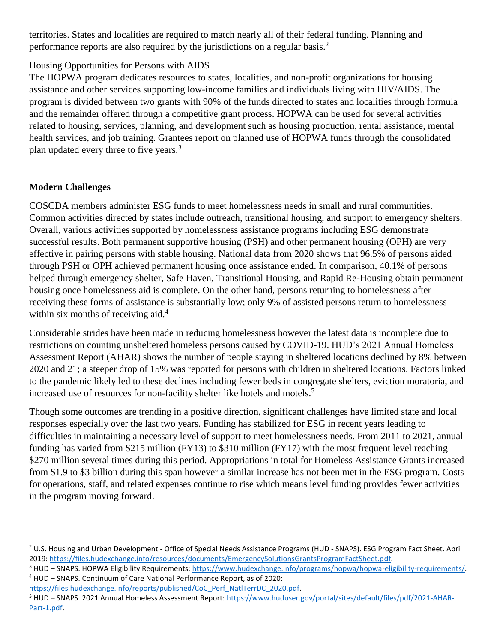territories. States and localities are required to match nearly all of their federal funding. Planning and performance reports are also required by the jurisdictions on a regular basis.<sup>2</sup>

## Housing Opportunities for Persons with AIDS

The HOPWA program dedicates resources to states, localities, and non-profit organizations for housing assistance and other services supporting low-income families and individuals living with HIV/AIDS. The program is divided between two grants with 90% of the funds directed to states and localities through formula and the remainder offered through a competitive grant process. HOPWA can be used for several activities related to housing, services, planning, and development such as housing production, rental assistance, mental health services, and job training. Grantees report on planned use of HOPWA funds through the consolidated plan updated every three to five years.<sup>3</sup>

# **Modern Challenges**

 $\overline{\phantom{a}}$ 

COSCDA members administer ESG funds to meet homelessness needs in small and rural communities. Common activities directed by states include outreach, transitional housing, and support to emergency shelters. Overall, various activities supported by homelessness assistance programs including ESG demonstrate successful results. Both permanent supportive housing (PSH) and other permanent housing (OPH) are very effective in pairing persons with stable housing. National data from 2020 shows that 96.5% of persons aided through PSH or OPH achieved permanent housing once assistance ended. In comparison, 40.1% of persons helped through emergency shelter, Safe Haven, Transitional Housing, and Rapid Re-Housing obtain permanent housing once homelessness aid is complete. On the other hand, persons returning to homelessness after receiving these forms of assistance is substantially low; only 9% of assisted persons return to homelessness within six months of receiving aid. $4$ 

Considerable strides have been made in reducing homelessness however the latest data is incomplete due to restrictions on counting unsheltered homeless persons caused by COVID-19. HUD's 2021 Annual Homeless Assessment Report (AHAR) shows the number of people staying in sheltered locations declined by 8% between 2020 and 21; a steeper drop of 15% was reported for persons with children in sheltered locations. Factors linked to the pandemic likely led to these declines including fewer beds in congregate shelters, eviction moratoria, and increased use of resources for non-facility shelter like hotels and motels.<sup>5</sup>

Though some outcomes are trending in a positive direction, significant challenges have limited state and local responses especially over the last two years. Funding has stabilized for ESG in recent years leading to difficulties in maintaining a necessary level of support to meet homelessness needs. From 2011 to 2021, annual funding has varied from \$215 million (FY13) to \$310 million (FY17) with the most frequent level reaching \$270 million several times during this period. Appropriations in total for Homeless Assistance Grants increased from \$1.9 to \$3 billion during this span however a similar increase has not been met in the ESG program. Costs for operations, staff, and related expenses continue to rise which means level funding provides fewer activities in the program moving forward.

<sup>&</sup>lt;sup>2</sup> U.S. Housing and Urban Development - Office of Special Needs Assistance Programs (HUD - SNAPS). ESG Program Fact Sheet. April 2019: [https://files.hudexchange.info/resources/documents/EmergencySolutionsGrantsProgramFactSheet.pdf.](https://files.hudexchange.info/resources/documents/EmergencySolutionsGrantsProgramFactSheet.pdf)

<sup>3</sup> HUD – SNAPS. HOPWA Eligibility Requirements: [https://www.hudexchange.info/programs/hopwa/hopwa-eligibility-requirements/.](https://www.hudexchange.info/programs/hopwa/hopwa-eligibility-requirements/) <sup>4</sup> HUD – SNAPS. Continuum of Care National Performance Report, as of 2020:

[https://files.hudexchange.info/reports/published/CoC\\_Perf\\_NatlTerrDC\\_2020.pdf.](https://files.hudexchange.info/reports/published/CoC_Perf_NatlTerrDC_2020.pdf)

<sup>&</sup>lt;sup>5</sup> HUD – SNAPS. 2021 Annual Homeless Assessment Report: [https://www.huduser.gov/portal/sites/default/files/pdf/2021-AHAR-](https://www.huduser.gov/portal/sites/default/files/pdf/2021-AHAR-Part-1.pdf)[Part-1.pdf.](https://www.huduser.gov/portal/sites/default/files/pdf/2021-AHAR-Part-1.pdf)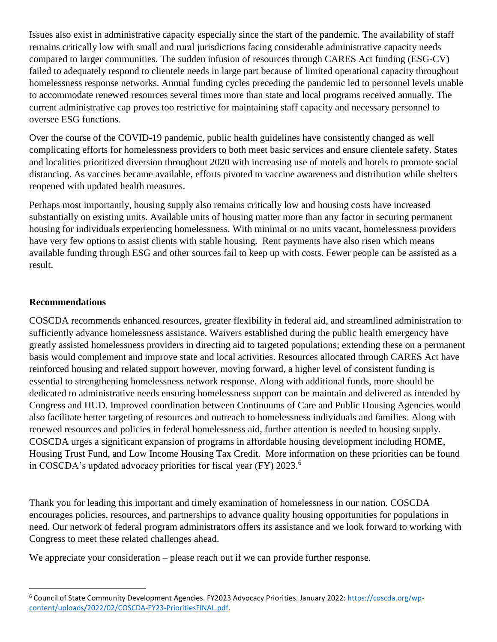Issues also exist in administrative capacity especially since the start of the pandemic. The availability of staff remains critically low with small and rural jurisdictions facing considerable administrative capacity needs compared to larger communities. The sudden infusion of resources through CARES Act funding (ESG-CV) failed to adequately respond to clientele needs in large part because of limited operational capacity throughout homelessness response networks. Annual funding cycles preceding the pandemic led to personnel levels unable to accommodate renewed resources several times more than state and local programs received annually. The current administrative cap proves too restrictive for maintaining staff capacity and necessary personnel to oversee ESG functions.

Over the course of the COVID-19 pandemic, public health guidelines have consistently changed as well complicating efforts for homelessness providers to both meet basic services and ensure clientele safety. States and localities prioritized diversion throughout 2020 with increasing use of motels and hotels to promote social distancing. As vaccines became available, efforts pivoted to vaccine awareness and distribution while shelters reopened with updated health measures.

Perhaps most importantly, housing supply also remains critically low and housing costs have increased substantially on existing units. Available units of housing matter more than any factor in securing permanent housing for individuals experiencing homelessness. With minimal or no units vacant, homelessness providers have very few options to assist clients with stable housing. Rent payments have also risen which means available funding through ESG and other sources fail to keep up with costs. Fewer people can be assisted as a result.

## **Recommendations**

l

COSCDA recommends enhanced resources, greater flexibility in federal aid, and streamlined administration to sufficiently advance homelessness assistance. Waivers established during the public health emergency have greatly assisted homelessness providers in directing aid to targeted populations; extending these on a permanent basis would complement and improve state and local activities. Resources allocated through CARES Act have reinforced housing and related support however, moving forward, a higher level of consistent funding is essential to strengthening homelessness network response. Along with additional funds, more should be dedicated to administrative needs ensuring homelessness support can be maintain and delivered as intended by Congress and HUD. Improved coordination between Continuums of Care and Public Housing Agencies would also facilitate better targeting of resources and outreach to homelessness individuals and families. Along with renewed resources and policies in federal homelessness aid, further attention is needed to housing supply. COSCDA urges a significant expansion of programs in affordable housing development including HOME, Housing Trust Fund, and Low Income Housing Tax Credit. More information on these priorities can be found in COSCDA's updated advocacy priorities for fiscal year (FY) 2023.<sup>6</sup>

Thank you for leading this important and timely examination of homelessness in our nation. COSCDA encourages policies, resources, and partnerships to advance quality housing opportunities for populations in need. Our network of federal program administrators offers its assistance and we look forward to working with Congress to meet these related challenges ahead.

We appreciate your consideration – please reach out if we can provide further response.

<sup>6</sup> Council of State Community Development Agencies. FY2023 Advocacy Priorities. January 2022: [https://coscda.org/wp](https://coscda.org/wp-content/uploads/2022/02/COSCDA-FY23-PrioritiesFINAL.pdf)[content/uploads/2022/02/COSCDA-FY23-PrioritiesFINAL.pdf.](https://coscda.org/wp-content/uploads/2022/02/COSCDA-FY23-PrioritiesFINAL.pdf)